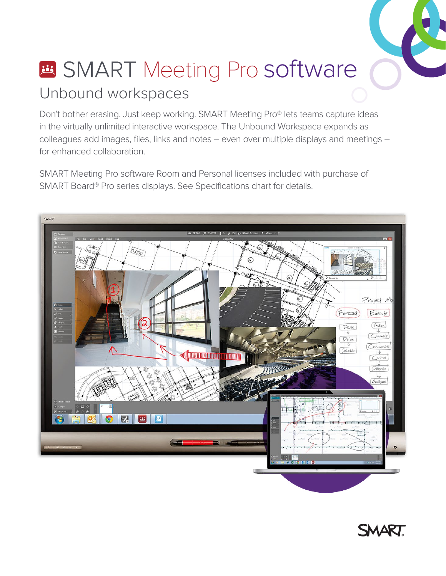# **Et SMART** Meeting Pro software Unbound workspaces

Don't bother erasing. Just keep working. SMART Meeting Pro® lets teams capture ideas in the virtually unlimited interactive workspace. The Unbound Workspace expands as colleagues add images, files, links and notes – even over multiple displays and meetings – for enhanced collaboration.

SMART Meeting Pro software Room and Personal licenses included with purchase of SMART Board® Pro series displays. See Specifications chart for details.